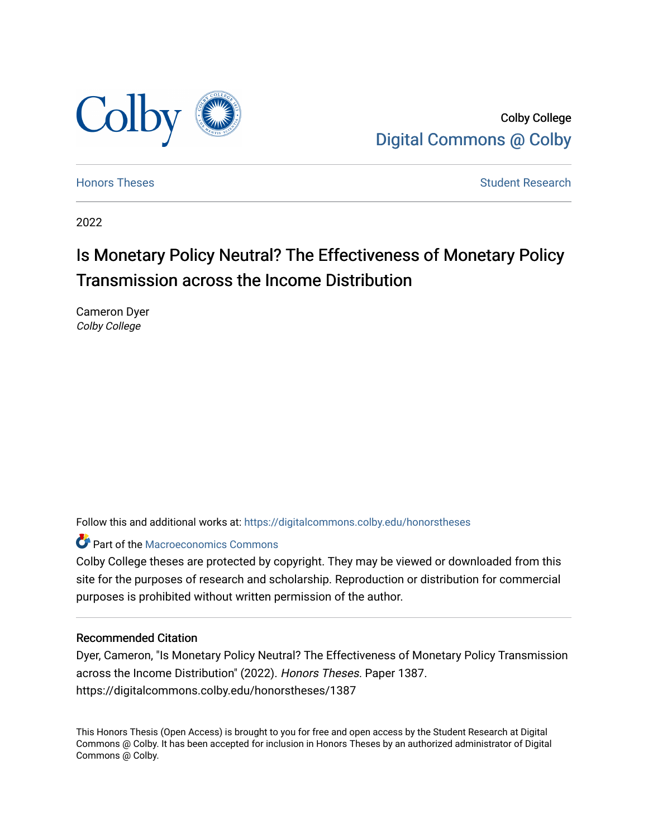

Colby College [Digital Commons @ Colby](https://digitalcommons.colby.edu/) 

[Honors Theses](https://digitalcommons.colby.edu/honorstheses) [Student Research](https://digitalcommons.colby.edu/student_research) and the Student Research Student Research

2022

# Is Monetary Policy Neutral? The Effectiveness of Monetary Policy Transmission across the Income Distribution

Cameron Dyer Colby College

Follow this and additional works at: [https://digitalcommons.colby.edu/honorstheses](https://digitalcommons.colby.edu/honorstheses?utm_source=digitalcommons.colby.edu%2Fhonorstheses%2F1387&utm_medium=PDF&utm_campaign=PDFCoverPages) 

**P** Part of the [Macroeconomics Commons](https://network.bepress.com/hgg/discipline/350?utm_source=digitalcommons.colby.edu%2Fhonorstheses%2F1387&utm_medium=PDF&utm_campaign=PDFCoverPages)

Colby College theses are protected by copyright. They may be viewed or downloaded from this site for the purposes of research and scholarship. Reproduction or distribution for commercial purposes is prohibited without written permission of the author.

#### Recommended Citation

Dyer, Cameron, "Is Monetary Policy Neutral? The Effectiveness of Monetary Policy Transmission across the Income Distribution" (2022). Honors Theses. Paper 1387. https://digitalcommons.colby.edu/honorstheses/1387

This Honors Thesis (Open Access) is brought to you for free and open access by the Student Research at Digital Commons @ Colby. It has been accepted for inclusion in Honors Theses by an authorized administrator of Digital Commons @ Colby.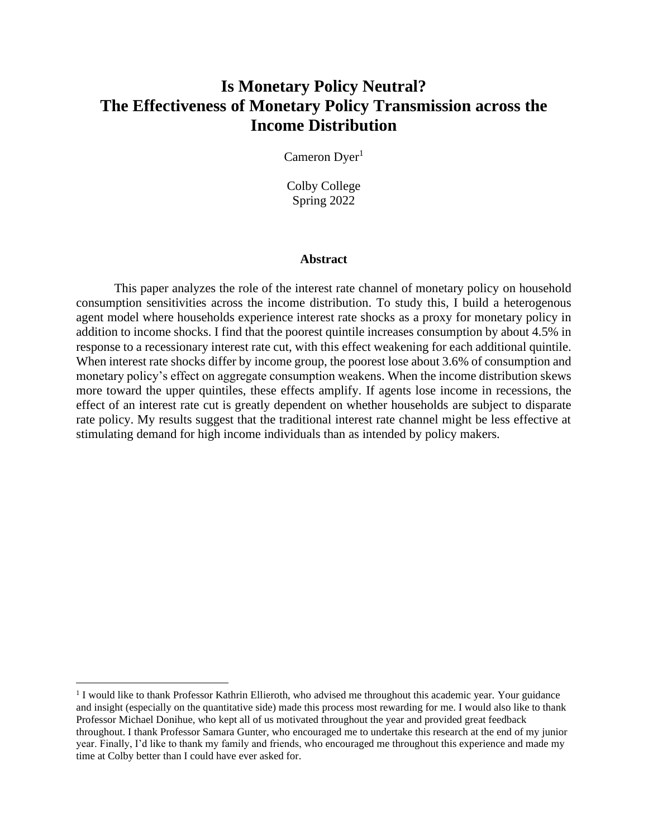## **Is Monetary Policy Neutral? The Effectiveness of Monetary Policy Transmission across the Income Distribution**

Cameron Dyer<sup>1</sup>

Colby College Spring 2022

#### **Abstract**

This paper analyzes the role of the interest rate channel of monetary policy on household consumption sensitivities across the income distribution. To study this, I build a heterogenous agent model where households experience interest rate shocks as a proxy for monetary policy in addition to income shocks. I find that the poorest quintile increases consumption by about 4.5% in response to a recessionary interest rate cut, with this effect weakening for each additional quintile. When interest rate shocks differ by income group, the poorest lose about 3.6% of consumption and monetary policy's effect on aggregate consumption weakens. When the income distribution skews more toward the upper quintiles, these effects amplify. If agents lose income in recessions, the effect of an interest rate cut is greatly dependent on whether households are subject to disparate rate policy. My results suggest that the traditional interest rate channel might be less effective at stimulating demand for high income individuals than as intended by policy makers.

<sup>&</sup>lt;sup>1</sup> I would like to thank Professor Kathrin Ellieroth, who advised me throughout this academic year. Your guidance and insight (especially on the quantitative side) made this process most rewarding for me. I would also like to thank Professor Michael Donihue, who kept all of us motivated throughout the year and provided great feedback throughout. I thank Professor Samara Gunter, who encouraged me to undertake this research at the end of my junior year. Finally, I'd like to thank my family and friends, who encouraged me throughout this experience and made my time at Colby better than I could have ever asked for.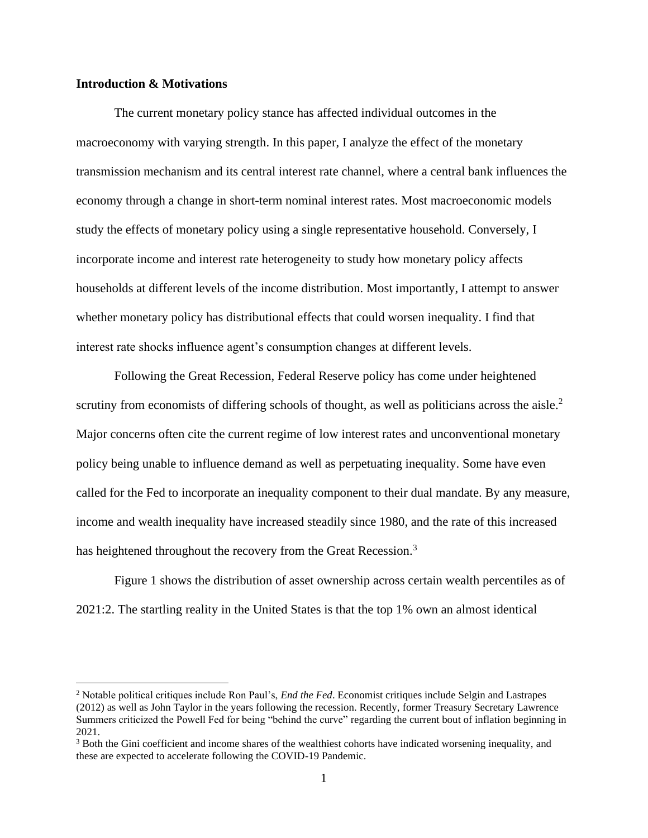#### **Introduction & Motivations**

The current monetary policy stance has affected individual outcomes in the macroeconomy with varying strength. In this paper, I analyze the effect of the monetary transmission mechanism and its central interest rate channel, where a central bank influences the economy through a change in short-term nominal interest rates. Most macroeconomic models study the effects of monetary policy using a single representative household. Conversely, I incorporate income and interest rate heterogeneity to study how monetary policy affects households at different levels of the income distribution. Most importantly, I attempt to answer whether monetary policy has distributional effects that could worsen inequality. I find that interest rate shocks influence agent's consumption changes at different levels.

Following the Great Recession, Federal Reserve policy has come under heightened scrutiny from economists of differing schools of thought, as well as politicians across the aisle.<sup>2</sup> Major concerns often cite the current regime of low interest rates and unconventional monetary policy being unable to influence demand as well as perpetuating inequality. Some have even called for the Fed to incorporate an inequality component to their dual mandate. By any measure, income and wealth inequality have increased steadily since 1980, and the rate of this increased has heightened throughout the recovery from the Great Recession.<sup>3</sup>

Figure 1 shows the distribution of asset ownership across certain wealth percentiles as of 2021:2. The startling reality in the United States is that the top 1% own an almost identical

<sup>2</sup> Notable political critiques include Ron Paul's, *End the Fed*. Economist critiques include Selgin and Lastrapes (2012) as well as John Taylor in the years following the recession. Recently, former Treasury Secretary Lawrence Summers criticized the Powell Fed for being "behind the curve" regarding the current bout of inflation beginning in 2021.

<sup>&</sup>lt;sup>3</sup> Both the Gini coefficient and income shares of the wealthiest cohorts have indicated worsening inequality, and these are expected to accelerate following the COVID-19 Pandemic.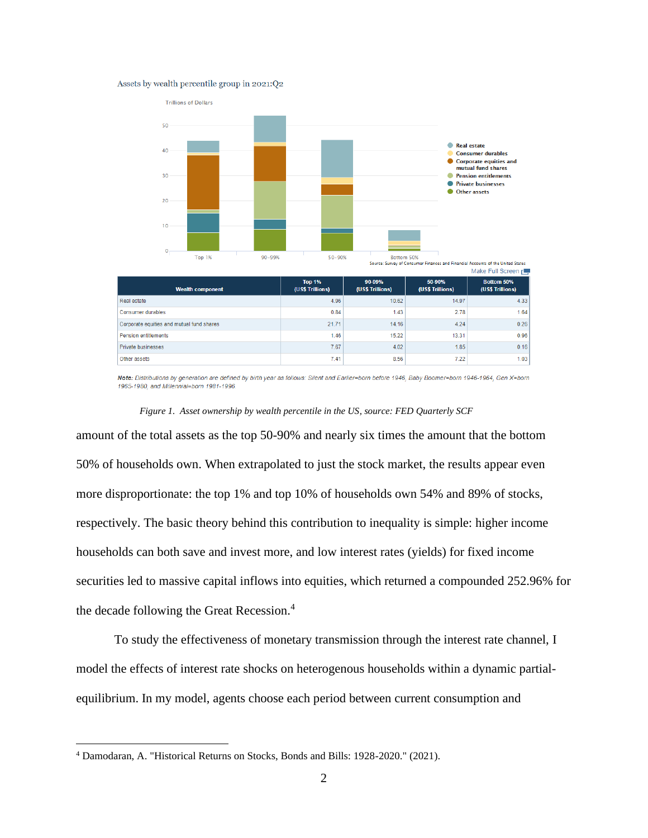#### Assets by wealth percentile group in 2021:Q2



| Real estate                               | 4.96  | 10.62 | 14.97 | 4.33 |
|-------------------------------------------|-------|-------|-------|------|
| Consumer durables                         | 0.84  | 1.43  | 2.78  | 1.64 |
| Corporate equities and mutual fund shares | 21.71 | 14.16 | 4.24  | 0.26 |
| <b>Pension entitlements</b>               | 1.46  | 15.22 | 13.31 | 0.96 |
| <b>Private businesses</b>                 | 7.67  | 4.02  | 1.85  | 0.16 |
| Other assets                              | 7.41  | 8.56  | 7.22  | 1.03 |

Note: Distributions by generation are defined by birth year as follows: Silent and Earlier=born before 1946, Baby Boomer=born 1946-1964, Gen X=born 1965-1980, and Millennial=born 1981-1996.

#### *Figure 1. Asset ownership by wealth percentile in the US, source: FED Quarterly SCF*

amount of the total assets as the top 50-90% and nearly six times the amount that the bottom 50% of households own. When extrapolated to just the stock market, the results appear even more disproportionate: the top 1% and top 10% of households own 54% and 89% of stocks, respectively. The basic theory behind this contribution to inequality is simple: higher income households can both save and invest more, and low interest rates (yields) for fixed income securities led to massive capital inflows into equities, which returned a compounded 252.96% for the decade following the Great Recession. 4

To study the effectiveness of monetary transmission through the interest rate channel, I model the effects of interest rate shocks on heterogenous households within a dynamic partialequilibrium. In my model, agents choose each period between current consumption and

<sup>4</sup> Damodaran, A. "Historical Returns on Stocks, Bonds and Bills: 1928-2020." (2021).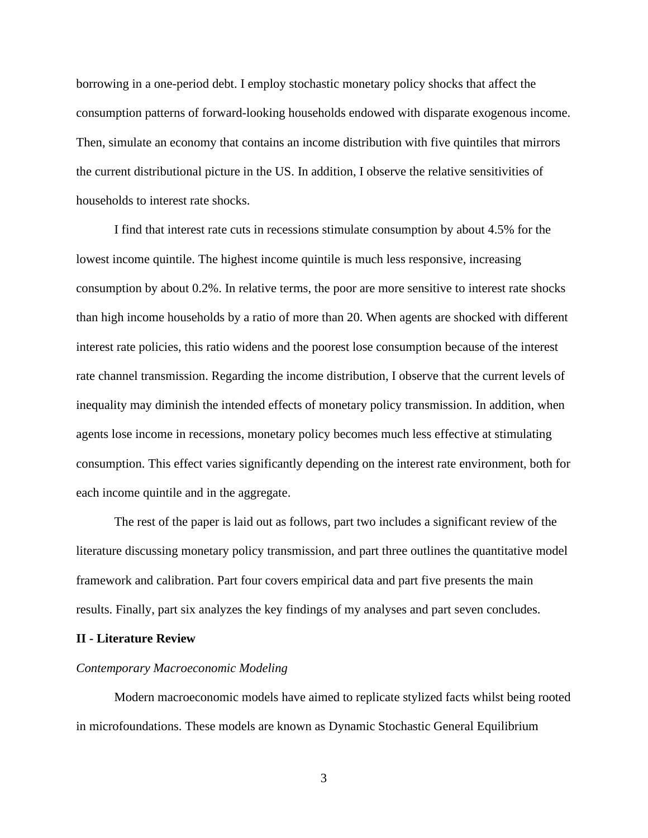borrowing in a one-period debt. I employ stochastic monetary policy shocks that affect the consumption patterns of forward-looking households endowed with disparate exogenous income. Then, simulate an economy that contains an income distribution with five quintiles that mirrors the current distributional picture in the US. In addition, I observe the relative sensitivities of households to interest rate shocks.

I find that interest rate cuts in recessions stimulate consumption by about 4.5% for the lowest income quintile. The highest income quintile is much less responsive, increasing consumption by about 0.2%. In relative terms, the poor are more sensitive to interest rate shocks than high income households by a ratio of more than 20. When agents are shocked with different interest rate policies, this ratio widens and the poorest lose consumption because of the interest rate channel transmission. Regarding the income distribution, I observe that the current levels of inequality may diminish the intended effects of monetary policy transmission. In addition, when agents lose income in recessions, monetary policy becomes much less effective at stimulating consumption. This effect varies significantly depending on the interest rate environment, both for each income quintile and in the aggregate.

The rest of the paper is laid out as follows, part two includes a significant review of the literature discussing monetary policy transmission, and part three outlines the quantitative model framework and calibration. Part four covers empirical data and part five presents the main results. Finally, part six analyzes the key findings of my analyses and part seven concludes.

#### **II - Literature Review**

#### *Contemporary Macroeconomic Modeling*

Modern macroeconomic models have aimed to replicate stylized facts whilst being rooted in microfoundations. These models are known as Dynamic Stochastic General Equilibrium

3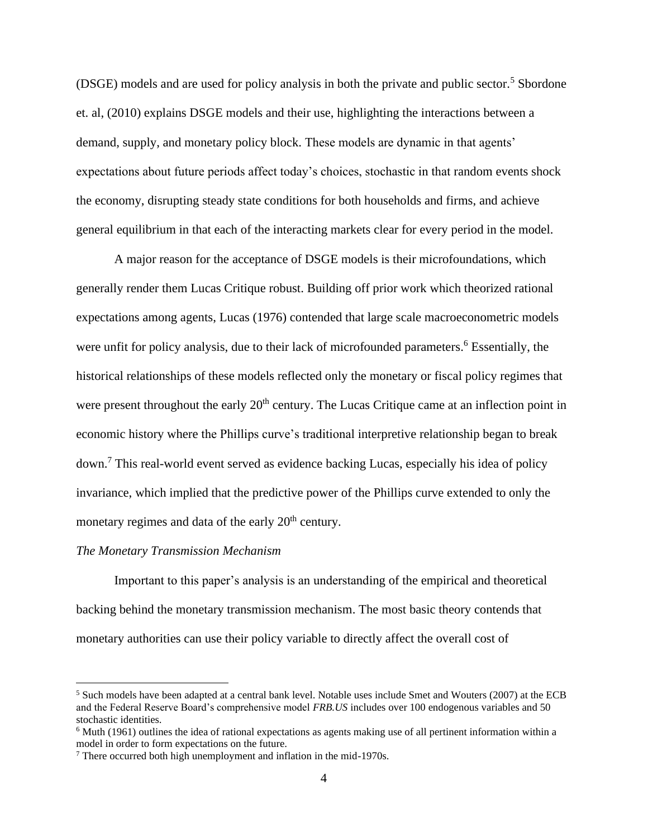(DSGE) models and are used for policy analysis in both the private and public sector.<sup>5</sup> Sbordone et. al, (2010) explains DSGE models and their use, highlighting the interactions between a demand, supply, and monetary policy block. These models are dynamic in that agents' expectations about future periods affect today's choices, stochastic in that random events shock the economy, disrupting steady state conditions for both households and firms, and achieve general equilibrium in that each of the interacting markets clear for every period in the model.

A major reason for the acceptance of DSGE models is their microfoundations, which generally render them Lucas Critique robust. Building off prior work which theorized rational expectations among agents, Lucas (1976) contended that large scale macroeconometric models were unfit for policy analysis, due to their lack of microfounded parameters.<sup>6</sup> Essentially, the historical relationships of these models reflected only the monetary or fiscal policy regimes that were present throughout the early 20<sup>th</sup> century. The Lucas Critique came at an inflection point in economic history where the Phillips curve's traditional interpretive relationship began to break down. <sup>7</sup> This real-world event served as evidence backing Lucas, especially his idea of policy invariance, which implied that the predictive power of the Phillips curve extended to only the monetary regimes and data of the early 20<sup>th</sup> century.

#### *The Monetary Transmission Mechanism*

Important to this paper's analysis is an understanding of the empirical and theoretical backing behind the monetary transmission mechanism. The most basic theory contends that monetary authorities can use their policy variable to directly affect the overall cost of

<sup>&</sup>lt;sup>5</sup> Such models have been adapted at a central bank level. Notable uses include Smet and Wouters (2007) at the ECB and the Federal Reserve Board's comprehensive model *FRB.US* includes over 100 endogenous variables and 50 stochastic identities.

<sup>6</sup> Muth (1961) outlines the idea of rational expectations as agents making use of all pertinent information within a model in order to form expectations on the future.

<sup>7</sup> There occurred both high unemployment and inflation in the mid-1970s.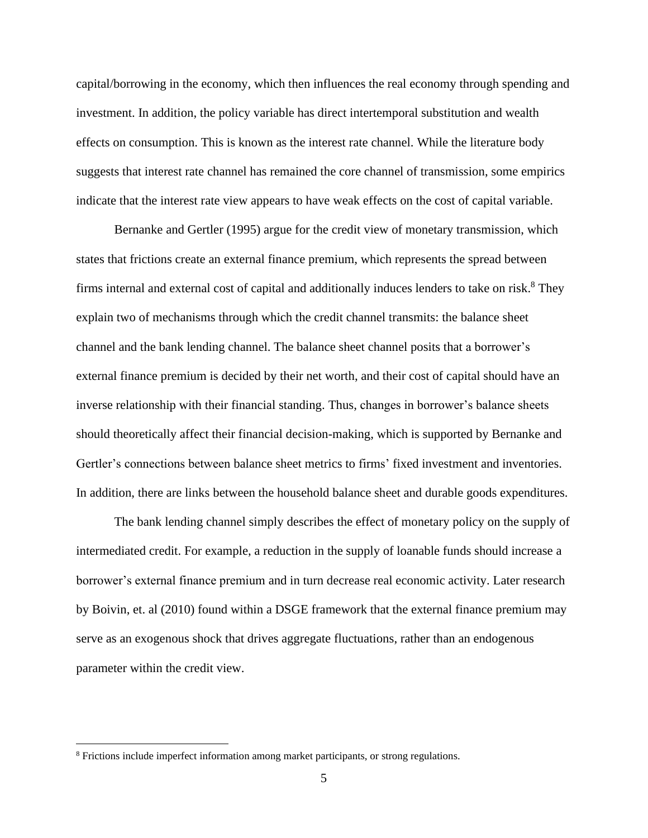capital/borrowing in the economy, which then influences the real economy through spending and investment. In addition, the policy variable has direct intertemporal substitution and wealth effects on consumption. This is known as the interest rate channel. While the literature body suggests that interest rate channel has remained the core channel of transmission, some empirics indicate that the interest rate view appears to have weak effects on the cost of capital variable.

Bernanke and Gertler (1995) argue for the credit view of monetary transmission, which states that frictions create an external finance premium, which represents the spread between firms internal and external cost of capital and additionally induces lenders to take on risk.<sup>8</sup> They explain two of mechanisms through which the credit channel transmits: the balance sheet channel and the bank lending channel. The balance sheet channel posits that a borrower's external finance premium is decided by their net worth, and their cost of capital should have an inverse relationship with their financial standing. Thus, changes in borrower's balance sheets should theoretically affect their financial decision-making, which is supported by Bernanke and Gertler's connections between balance sheet metrics to firms' fixed investment and inventories. In addition, there are links between the household balance sheet and durable goods expenditures.

The bank lending channel simply describes the effect of monetary policy on the supply of intermediated credit. For example, a reduction in the supply of loanable funds should increase a borrower's external finance premium and in turn decrease real economic activity. Later research by Boivin, et. al (2010) found within a DSGE framework that the external finance premium may serve as an exogenous shock that drives aggregate fluctuations, rather than an endogenous parameter within the credit view.

<sup>8</sup> Frictions include imperfect information among market participants, or strong regulations.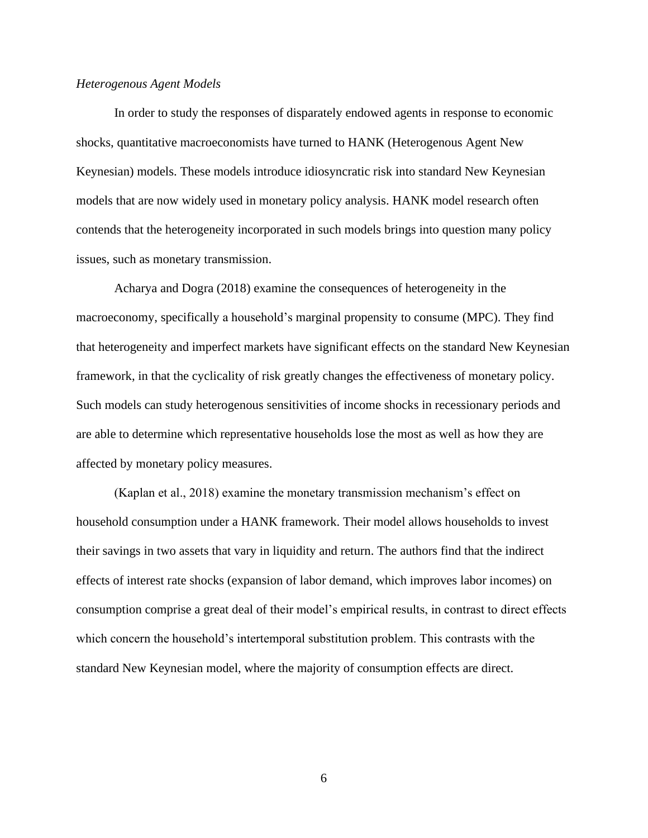#### *Heterogenous Agent Models*

In order to study the responses of disparately endowed agents in response to economic shocks, quantitative macroeconomists have turned to HANK (Heterogenous Agent New Keynesian) models. These models introduce idiosyncratic risk into standard New Keynesian models that are now widely used in monetary policy analysis. HANK model research often contends that the heterogeneity incorporated in such models brings into question many policy issues, such as monetary transmission.

Acharya and Dogra (2018) examine the consequences of heterogeneity in the macroeconomy, specifically a household's marginal propensity to consume (MPC). They find that heterogeneity and imperfect markets have significant effects on the standard New Keynesian framework, in that the cyclicality of risk greatly changes the effectiveness of monetary policy. Such models can study heterogenous sensitivities of income shocks in recessionary periods and are able to determine which representative households lose the most as well as how they are affected by monetary policy measures.

(Kaplan et al., 2018) examine the monetary transmission mechanism's effect on household consumption under a HANK framework. Their model allows households to invest their savings in two assets that vary in liquidity and return. The authors find that the indirect effects of interest rate shocks (expansion of labor demand, which improves labor incomes) on consumption comprise a great deal of their model's empirical results, in contrast to direct effects which concern the household's intertemporal substitution problem. This contrasts with the standard New Keynesian model, where the majority of consumption effects are direct.

6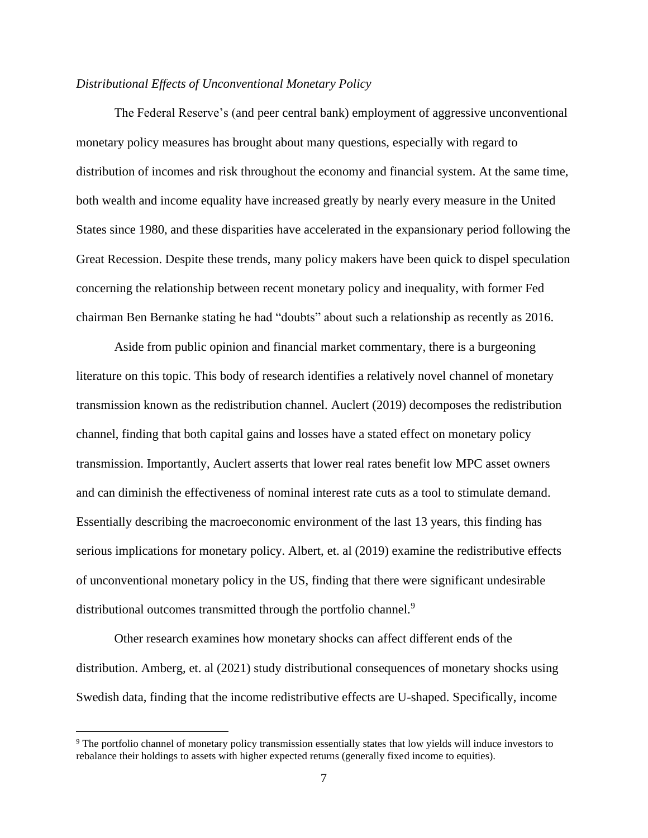#### *Distributional Effects of Unconventional Monetary Policy*

The Federal Reserve's (and peer central bank) employment of aggressive unconventional monetary policy measures has brought about many questions, especially with regard to distribution of incomes and risk throughout the economy and financial system. At the same time, both wealth and income equality have increased greatly by nearly every measure in the United States since 1980, and these disparities have accelerated in the expansionary period following the Great Recession. Despite these trends, many policy makers have been quick to dispel speculation concerning the relationship between recent monetary policy and inequality, with former Fed chairman Ben Bernanke stating he had "doubts" about such a relationship as recently as 2016.

Aside from public opinion and financial market commentary, there is a burgeoning literature on this topic. This body of research identifies a relatively novel channel of monetary transmission known as the redistribution channel. Auclert (2019) decomposes the redistribution channel, finding that both capital gains and losses have a stated effect on monetary policy transmission. Importantly, Auclert asserts that lower real rates benefit low MPC asset owners and can diminish the effectiveness of nominal interest rate cuts as a tool to stimulate demand. Essentially describing the macroeconomic environment of the last 13 years, this finding has serious implications for monetary policy. Albert, et. al (2019) examine the redistributive effects of unconventional monetary policy in the US, finding that there were significant undesirable distributional outcomes transmitted through the portfolio channel.<sup>9</sup>

Other research examines how monetary shocks can affect different ends of the distribution. Amberg, et. al (2021) study distributional consequences of monetary shocks using Swedish data, finding that the income redistributive effects are U-shaped. Specifically, income

<sup>9</sup> The portfolio channel of monetary policy transmission essentially states that low yields will induce investors to rebalance their holdings to assets with higher expected returns (generally fixed income to equities).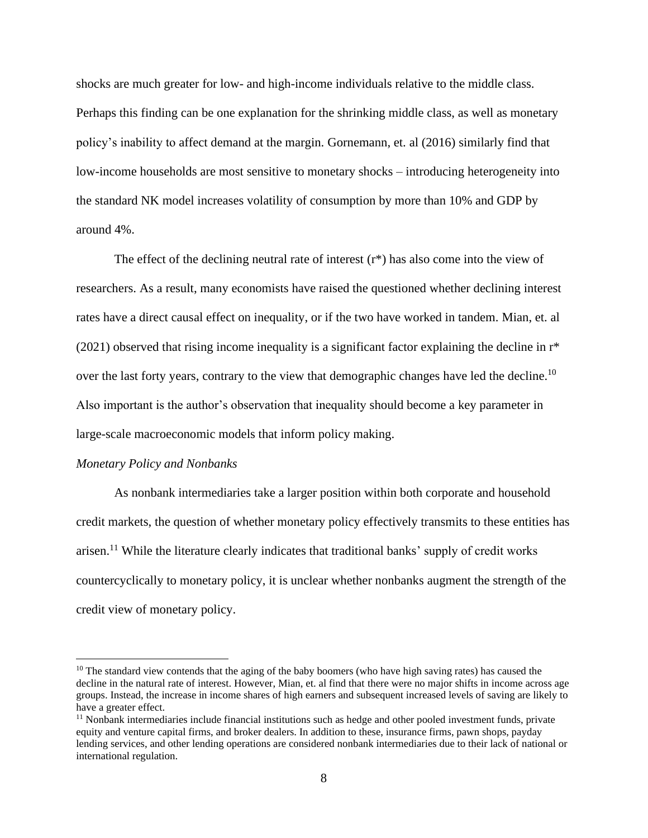shocks are much greater for low- and high-income individuals relative to the middle class. Perhaps this finding can be one explanation for the shrinking middle class, as well as monetary policy's inability to affect demand at the margin. Gornemann, et. al (2016) similarly find that low-income households are most sensitive to monetary shocks – introducing heterogeneity into the standard NK model increases volatility of consumption by more than 10% and GDP by around 4%.

The effect of the declining neutral rate of interest  $(r*)$  has also come into the view of researchers. As a result, many economists have raised the questioned whether declining interest rates have a direct causal effect on inequality, or if the two have worked in tandem. Mian, et. al (2021) observed that rising income inequality is a significant factor explaining the decline in r\* over the last forty years, contrary to the view that demographic changes have led the decline.<sup>10</sup> Also important is the author's observation that inequality should become a key parameter in large-scale macroeconomic models that inform policy making.

#### *Monetary Policy and Nonbanks*

As nonbank intermediaries take a larger position within both corporate and household credit markets, the question of whether monetary policy effectively transmits to these entities has arisen.<sup>11</sup> While the literature clearly indicates that traditional banks' supply of credit works countercyclically to monetary policy, it is unclear whether nonbanks augment the strength of the credit view of monetary policy.

<sup>&</sup>lt;sup>10</sup> The standard view contends that the aging of the baby boomers (who have high saving rates) has caused the decline in the natural rate of interest. However, Mian, et. al find that there were no major shifts in income across age groups. Instead, the increase in income shares of high earners and subsequent increased levels of saving are likely to have a greater effect.

 $<sup>11</sup>$  Nonbank intermediaries include financial institutions such as hedge and other pooled investment funds, private</sup> equity and venture capital firms, and broker dealers. In addition to these, insurance firms, pawn shops, payday lending services, and other lending operations are considered nonbank intermediaries due to their lack of national or international regulation.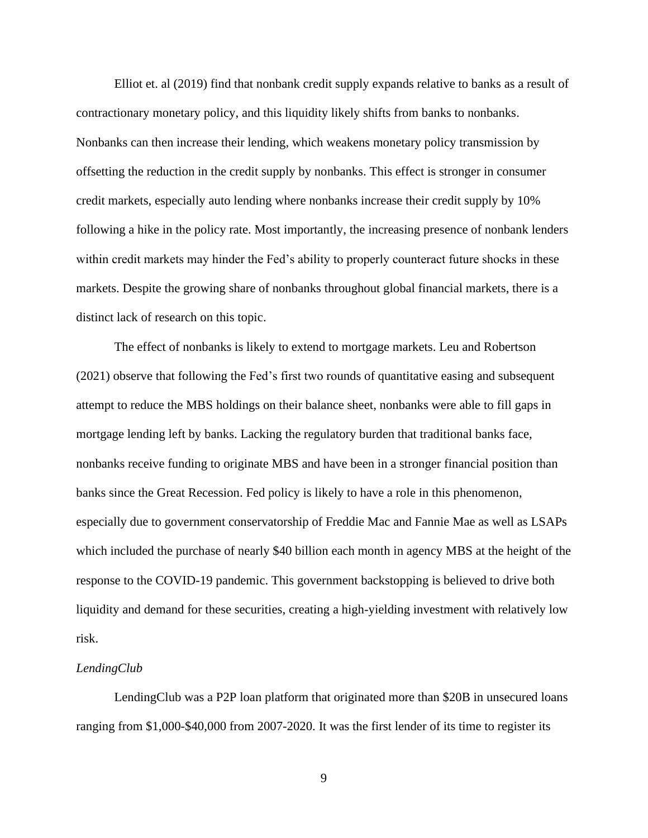Elliot et. al (2019) find that nonbank credit supply expands relative to banks as a result of contractionary monetary policy, and this liquidity likely shifts from banks to nonbanks. Nonbanks can then increase their lending, which weakens monetary policy transmission by offsetting the reduction in the credit supply by nonbanks. This effect is stronger in consumer credit markets, especially auto lending where nonbanks increase their credit supply by 10% following a hike in the policy rate. Most importantly, the increasing presence of nonbank lenders within credit markets may hinder the Fed's ability to properly counteract future shocks in these markets. Despite the growing share of nonbanks throughout global financial markets, there is a distinct lack of research on this topic.

The effect of nonbanks is likely to extend to mortgage markets. Leu and Robertson (2021) observe that following the Fed's first two rounds of quantitative easing and subsequent attempt to reduce the MBS holdings on their balance sheet, nonbanks were able to fill gaps in mortgage lending left by banks. Lacking the regulatory burden that traditional banks face, nonbanks receive funding to originate MBS and have been in a stronger financial position than banks since the Great Recession. Fed policy is likely to have a role in this phenomenon, especially due to government conservatorship of Freddie Mac and Fannie Mae as well as LSAPs which included the purchase of nearly \$40 billion each month in agency MBS at the height of the response to the COVID-19 pandemic. This government backstopping is believed to drive both liquidity and demand for these securities, creating a high-yielding investment with relatively low risk.

#### *LendingClub*

LendingClub was a P2P loan platform that originated more than \$20B in unsecured loans ranging from \$1,000-\$40,000 from 2007-2020. It was the first lender of its time to register its

9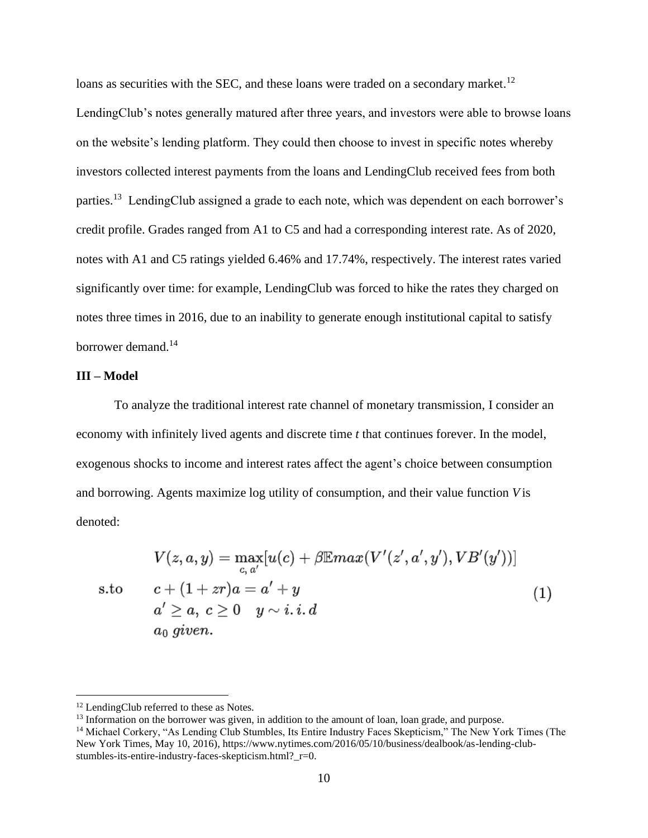loans as securities with the SEC, and these loans were traded on a secondary market.<sup>12</sup> LendingClub's notes generally matured after three years, and investors were able to browse loans on the website's lending platform. They could then choose to invest in specific notes whereby investors collected interest payments from the loans and LendingClub received fees from both parties.<sup>13</sup> LendingClub assigned a grade to each note, which was dependent on each borrower's credit profile. Grades ranged from A1 to C5 and had a corresponding interest rate. As of 2020, notes with A1 and C5 ratings yielded 6.46% and 17.74%, respectively. The interest rates varied significantly over time: for example, LendingClub was forced to hike the rates they charged on notes three times in 2016, due to an inability to generate enough institutional capital to satisfy borrower demand.<sup>14</sup>

#### **III – Model**

To analyze the traditional interest rate channel of monetary transmission, I consider an economy with infinitely lived agents and discrete time *t* that continues forever. In the model, exogenous shocks to income and interest rates affect the agent's choice between consumption and borrowing. Agents maximize log utility of consumption, and their value function *V* is denoted:

$$
V(z, a, y) = \max_{c, a'} [u(c) + \beta \mathbb{E}max(V'(z', a', y'), VB'(y'))]
$$
  
s.to  

$$
c + (1 + zr)a = a' + y
$$

$$
a' \ge a, c \ge 0 \quad y \sim i.i.d
$$

$$
a_0 \text{ given.}
$$

$$
(1)
$$

<sup>&</sup>lt;sup>12</sup> LendingClub referred to these as Notes.

 $<sup>13</sup>$  Information on the borrower was given, in addition to the amount of loan, loan grade, and purpose.</sup>

<sup>&</sup>lt;sup>14</sup> Michael Corkery, "As Lending Club Stumbles, Its Entire Industry Faces Skepticism," The New York Times (The New York Times, May 10, 2016), https://www.nytimes.com/2016/05/10/business/dealbook/as-lending-clubstumbles-its-entire-industry-faces-skepticism.html? r=0.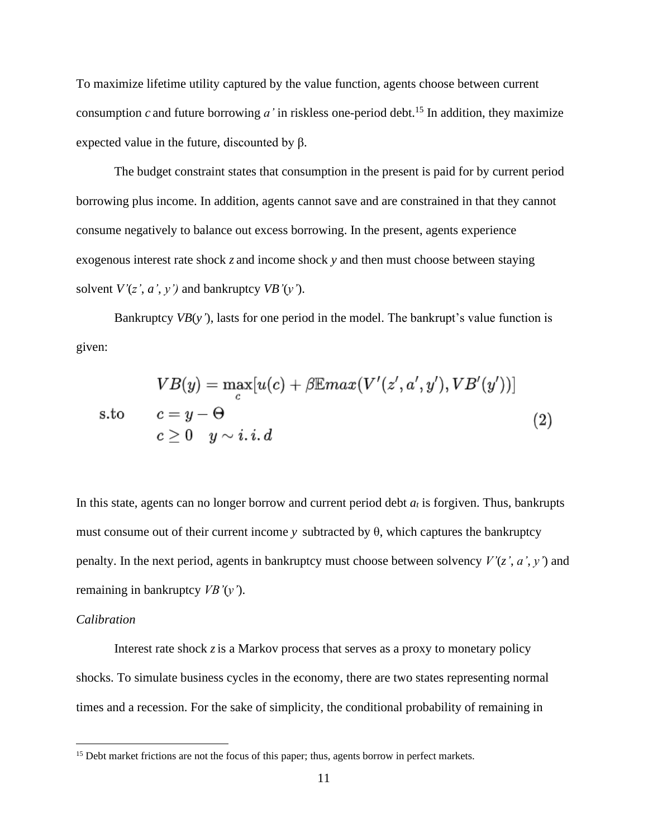To maximize lifetime utility captured by the value function, agents choose between current consumption  $c$  and future borrowing  $a'$  in riskless one-period debt.<sup>15</sup> In addition, they maximize expected value in the future, discounted by β.

The budget constraint states that consumption in the present is paid for by current period borrowing plus income. In addition, agents cannot save and are constrained in that they cannot consume negatively to balance out excess borrowing. In the present, agents experience exogenous interest rate shock *z* and income shock *y* and then must choose between staying solvent  $V'(z', a', y')$  and bankruptcy  $VB'(y')$ .

Bankruptcy *VB*(*y'*), lasts for one period in the model. The bankrupt's value function is given:

$$
VB(y) = \max_{c} [u(c) + \beta \mathbb{E}max(V'(z', a', y'), VB'(y'))]
$$
  
s.to  $c = y - \Theta$   
 $c \ge 0$   $y \sim i.i.d$  (2)

In this state, agents can no longer borrow and current period debt *a<sup>t</sup>* is forgiven. Thus, bankrupts must consume out of their current income *γ* subtracted by  $θ$ , which captures the bankruptcy penalty. In the next period, agents in bankruptcy must choose between solvency *V'*(*z'*, *a'*, *y'*) and remaining in bankruptcy *VB'*(*y'*).

#### *Calibration*

Interest rate shock *z*is a Markov process that serves as a proxy to monetary policy shocks. To simulate business cycles in the economy, there are two states representing normal times and a recession. For the sake of simplicity, the conditional probability of remaining in

<sup>&</sup>lt;sup>15</sup> Debt market frictions are not the focus of this paper; thus, agents borrow in perfect markets.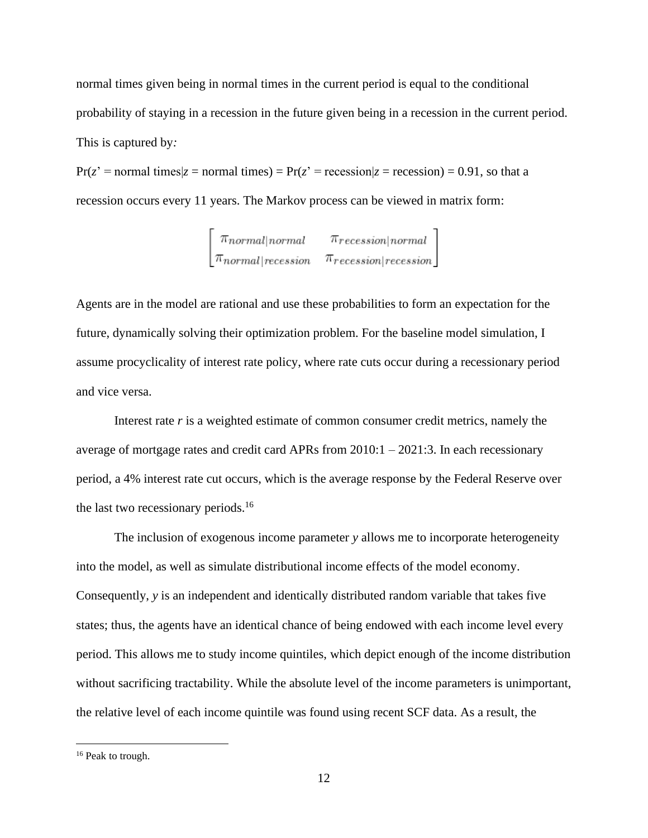normal times given being in normal times in the current period is equal to the conditional probability of staying in a recession in the future given being in a recession in the current period. This is captured by*:*

 $Pr(z' = normal \times |z| = normal \times n) = Pr(z' = \text{recession}|z = \text{recession}| = 0.91$ , so that a recession occurs every 11 years. The Markov process can be viewed in matrix form:

 $\begin{bmatrix} \pi_{normal|normal} & \pi_{recession|normal} \\ \pi_{normal|recession} & \pi_{recession|recession} \end{bmatrix}$ 

Agents are in the model are rational and use these probabilities to form an expectation for the future, dynamically solving their optimization problem. For the baseline model simulation, I assume procyclicality of interest rate policy, where rate cuts occur during a recessionary period and vice versa.

Interest rate *r* is a weighted estimate of common consumer credit metrics, namely the average of mortgage rates and credit card APRs from 2010:1 – 2021:3. In each recessionary period, a 4% interest rate cut occurs, which is the average response by the Federal Reserve over the last two recessionary periods.<sup>16</sup>

The inclusion of exogenous income parameter *y* allows me to incorporate heterogeneity into the model, as well as simulate distributional income effects of the model economy. Consequently, *y* is an independent and identically distributed random variable that takes five states; thus, the agents have an identical chance of being endowed with each income level every period. This allows me to study income quintiles, which depict enough of the income distribution without sacrificing tractability. While the absolute level of the income parameters is unimportant, the relative level of each income quintile was found using recent SCF data. As a result, the

<sup>&</sup>lt;sup>16</sup> Peak to trough.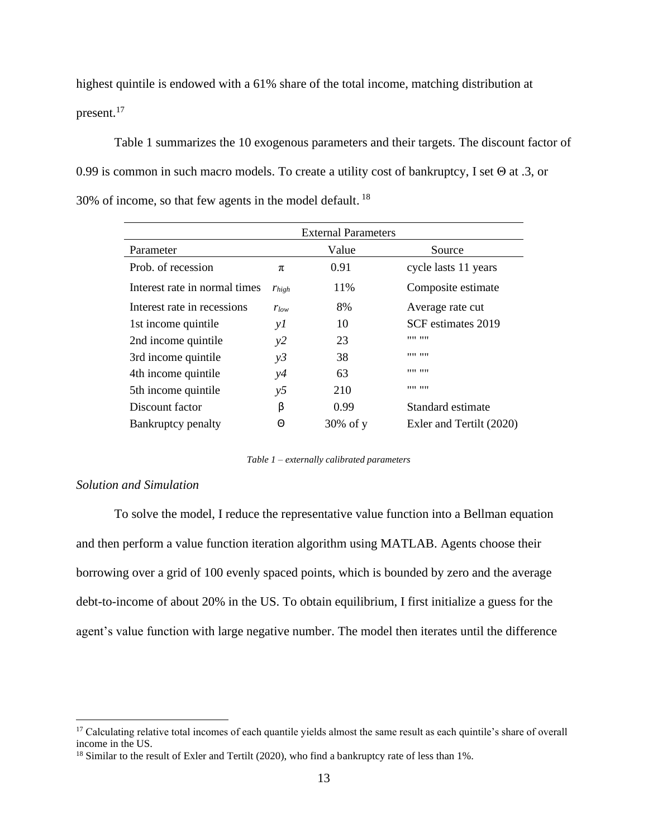highest quintile is endowed with a 61% share of the total income, matching distribution at present.<sup>17</sup>

Table 1 summarizes the 10 exogenous parameters and their targets. The discount factor of 0.99 is common in such macro models. To create a utility cost of bankruptcy, I set Θ at .3, or 30% of income, so that few agents in the model default.  $18$ 

|                               |            | <b>External Parameters</b> |                          |
|-------------------------------|------------|----------------------------|--------------------------|
| Parameter                     |            | Value                      | Source                   |
| Prob. of recession            | $\pi$      | 0.91                       | cycle lasts 11 years     |
| Interest rate in normal times | $r_{high}$ | 11%                        | Composite estimate       |
| Interest rate in recessions   | $r_{low}$  | 8%                         | Average rate cut         |
| 1st income quintile           | yI         | 10                         | SCF estimates 2019       |
| 2nd income quintile           | y2         | 23                         | ,,,,,,,,                 |
| 3rd income quintile           | y3         | 38                         |                          |
| 4th income quintile           | y4         | 63                         | ,,,,,,,,                 |
| 5th income quintile           | y5         | 210                        | ,,,,,,,,                 |
| Discount factor               | β          | 0.99                       | Standard estimate        |
| Bankruptcy penalty            | Θ          | $30\%$ of y                | Exler and Tertilt (2020) |

*Table 1 – externally calibrated parameters*

## *Solution and Simulation*

To solve the model, I reduce the representative value function into a Bellman equation and then perform a value function iteration algorithm using MATLAB. Agents choose their borrowing over a grid of 100 evenly spaced points, which is bounded by zero and the average debt-to-income of about 20% in the US. To obtain equilibrium, I first initialize a guess for the agent's value function with large negative number. The model then iterates until the difference

<sup>&</sup>lt;sup>17</sup> Calculating relative total incomes of each quantile yields almost the same result as each quintile's share of overall income in the US.

<sup>&</sup>lt;sup>18</sup> Similar to the result of Exler and Tertilt (2020), who find a bankruptcy rate of less than 1%.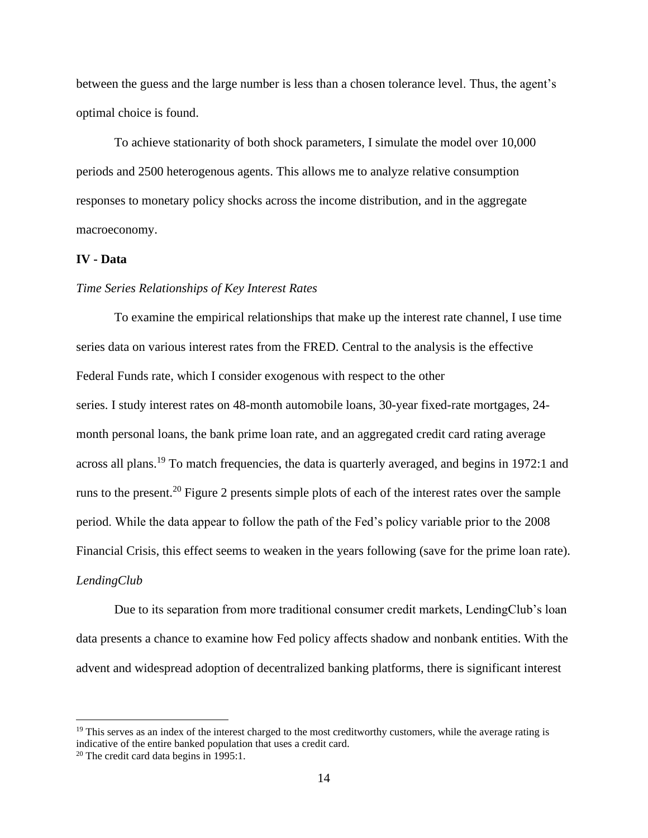between the guess and the large number is less than a chosen tolerance level. Thus, the agent's optimal choice is found.

To achieve stationarity of both shock parameters, I simulate the model over 10,000 periods and 2500 heterogenous agents. This allows me to analyze relative consumption responses to monetary policy shocks across the income distribution, and in the aggregate macroeconomy.

## **IV - Data**

#### *Time Series Relationships of Key Interest Rates*

To examine the empirical relationships that make up the interest rate channel, I use time series data on various interest rates from the FRED. Central to the analysis is the effective Federal Funds rate, which I consider exogenous with respect to the other series. I study interest rates on 48-month automobile loans, 30-year fixed-rate mortgages, 24 month personal loans, the bank prime loan rate, and an aggregated credit card rating average across all plans.<sup>19</sup> To match frequencies, the data is quarterly averaged, and begins in 1972:1 and runs to the present.<sup>20</sup> Figure 2 presents simple plots of each of the interest rates over the sample period. While the data appear to follow the path of the Fed's policy variable prior to the 2008 Financial Crisis, this effect seems to weaken in the years following (save for the prime loan rate). *LendingClub*

Due to its separation from more traditional consumer credit markets, LendingClub's loan data presents a chance to examine how Fed policy affects shadow and nonbank entities. With the advent and widespread adoption of decentralized banking platforms, there is significant interest

 $19$  This serves as an index of the interest charged to the most creditworthy customers, while the average rating is indicative of the entire banked population that uses a credit card.

<sup>20</sup> The credit card data begins in 1995:1.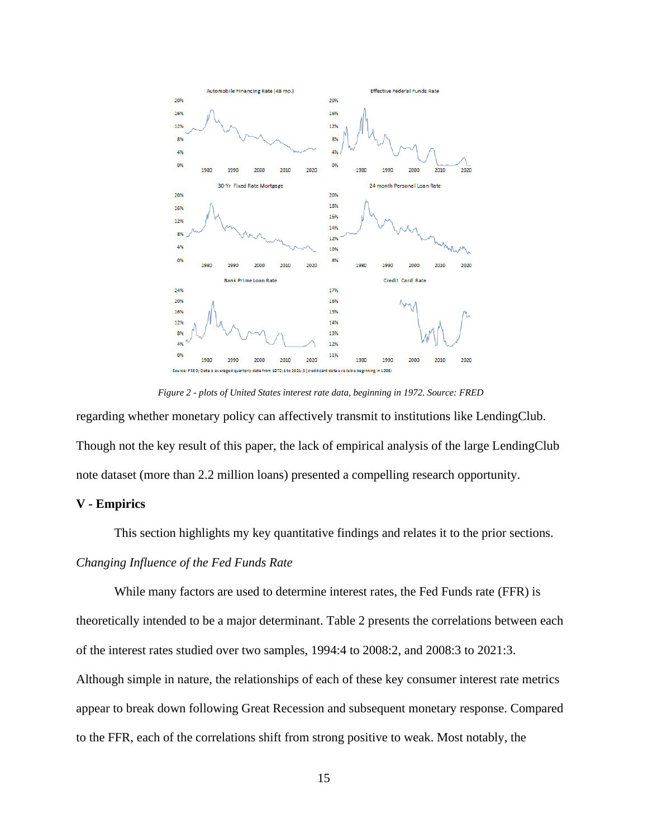

*Figure 2 - plots of United States interest rate data, beginning in 1972. Source: FRED*

regarding whether monetary policy can affectively transmit to institutions like LendingClub. Though not the key result of this paper, the lack of empirical analysis of the large LendingClub note dataset (more than 2.2 million loans) presented a compelling research opportunity.

#### **V - Empirics**

This section highlights my key quantitative findings and relates it to the prior sections.

#### *Changing Influence of the Fed Funds Rate*

While many factors are used to determine interest rates, the Fed Funds rate (FFR) is theoretically intended to be a major determinant. Table 2 presents the correlations between each of the interest rates studied over two samples, 1994:4 to 2008:2, and 2008:3 to 2021:3. Although simple in nature, the relationships of each of these key consumer interest rate metrics appear to break down following Great Recession and subsequent monetary response. Compared to the FFR, each of the correlations shift from strong positive to weak. Most notably, the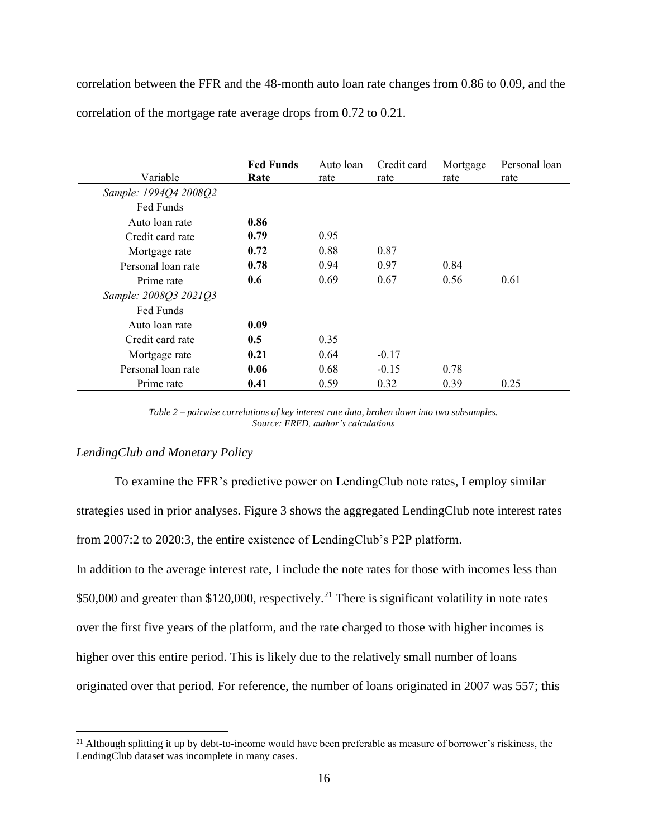correlation between the FFR and the 48-month auto loan rate changes from 0.86 to 0.09, and the correlation of the mortgage rate average drops from 0.72 to 0.21.

|                       | <b>Fed Funds</b> | Auto loan | Credit card | Mortgage | Personal loan |
|-----------------------|------------------|-----------|-------------|----------|---------------|
| Variable              | Rate             | rate      | rate        | rate     | rate          |
| Sample: 1994Q4 2008Q2 |                  |           |             |          |               |
| Fed Funds             |                  |           |             |          |               |
| Auto loan rate        | 0.86             |           |             |          |               |
| Credit card rate      | 0.79             | 0.95      |             |          |               |
| Mortgage rate         | 0.72             | 0.88      | 0.87        |          |               |
| Personal loan rate    | 0.78             | 0.94      | 0.97        | 0.84     |               |
| Prime rate            | 0.6              | 0.69      | 0.67        | 0.56     | 0.61          |
| Sample: 2008Q3 2021Q3 |                  |           |             |          |               |
| Fed Funds             |                  |           |             |          |               |
| Auto loan rate        | 0.09             |           |             |          |               |
| Credit card rate      | 0.5              | 0.35      |             |          |               |
| Mortgage rate         | 0.21             | 0.64      | $-0.17$     |          |               |
| Personal loan rate    | 0.06             | 0.68      | $-0.15$     | 0.78     |               |
| Prime rate            | 0.41             | 0.59      | 0.32        | 0.39     | 0.25          |

*Table 2 – pairwise correlations of key interest rate data, broken down into two subsamples. Source: FRED, author's calculations*

#### *LendingClub and Monetary Policy*

To examine the FFR's predictive power on LendingClub note rates, I employ similar strategies used in prior analyses. Figure 3 shows the aggregated LendingClub note interest rates from 2007:2 to 2020:3, the entire existence of LendingClub's P2P platform. In addition to the average interest rate, I include the note rates for those with incomes less than \$50,000 and greater than \$120,000, respectively.<sup>21</sup> There is significant volatility in note rates over the first five years of the platform, and the rate charged to those with higher incomes is higher over this entire period. This is likely due to the relatively small number of loans originated over that period. For reference, the number of loans originated in 2007 was 557; this

 $21$  Although splitting it up by debt-to-income would have been preferable as measure of borrower's riskiness, the LendingClub dataset was incomplete in many cases.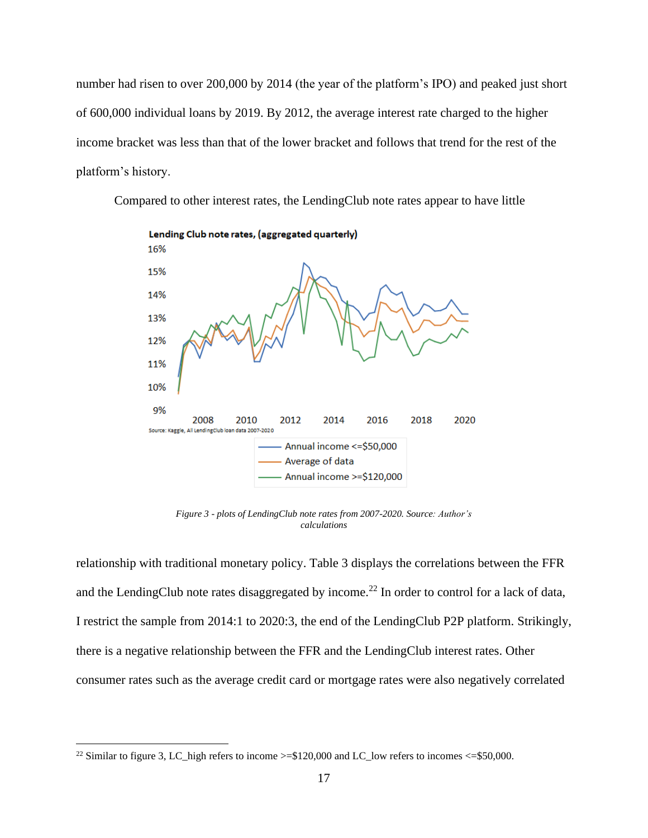number had risen to over 200,000 by 2014 (the year of the platform's IPO) and peaked just short of 600,000 individual loans by 2019. By 2012, the average interest rate charged to the higher income bracket was less than that of the lower bracket and follows that trend for the rest of the platform's history.

Compared to other interest rates, the LendingClub note rates appear to have little



*Figure 3 - plots of LendingClub note rates from 2007-2020. Source: Author's calculations*

relationship with traditional monetary policy. Table 3 displays the correlations between the FFR and the LendingClub note rates disaggregated by income.<sup>22</sup> In order to control for a lack of data, I restrict the sample from 2014:1 to 2020:3, the end of the LendingClub P2P platform. Strikingly, there is a negative relationship between the FFR and the LendingClub interest rates. Other consumer rates such as the average credit card or mortgage rates were also negatively correlated

<sup>&</sup>lt;sup>22</sup> Similar to figure 3, LC\_high refers to income  $>= $120,000$  and LC\_low refers to incomes  $<= $50,000$ .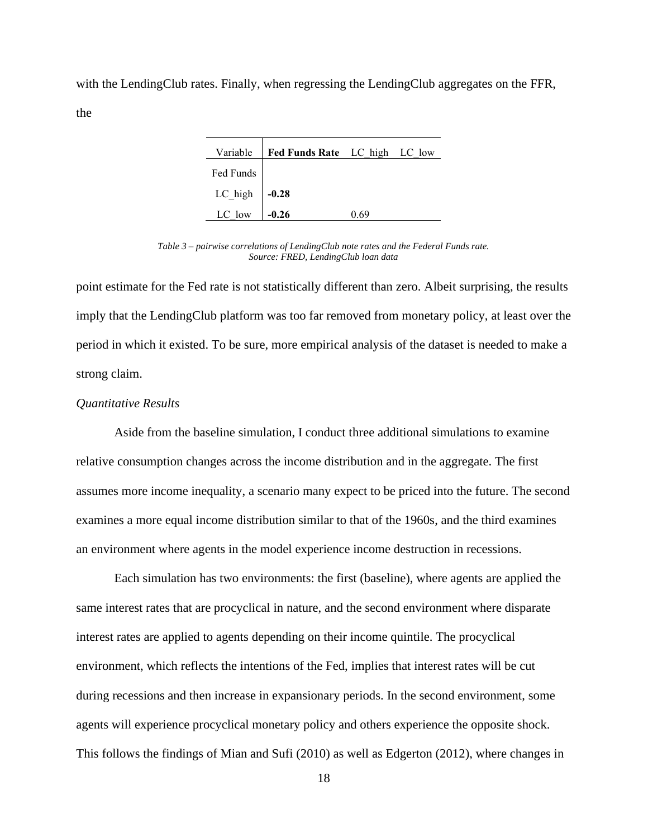with the LendingClub rates. Finally, when regressing the LendingClub aggregates on the FFR, the

|                      | Variable   Fed Funds Rate LC_high LC_low |      |  |
|----------------------|------------------------------------------|------|--|
| Fed Funds            |                                          |      |  |
| $LC_{high}$ -0.28    |                                          |      |  |
| LC_low $\Big $ -0.26 |                                          | በ 69 |  |

*Table 3 – pairwise correlations of LendingClub note rates and the Federal Funds rate. Source: FRED, LendingClub loan data*

point estimate for the Fed rate is not statistically different than zero. Albeit surprising, the results imply that the LendingClub platform was too far removed from monetary policy, at least over the period in which it existed. To be sure, more empirical analysis of the dataset is needed to make a strong claim.

## *Quantitative Results*

Aside from the baseline simulation, I conduct three additional simulations to examine relative consumption changes across the income distribution and in the aggregate. The first assumes more income inequality, a scenario many expect to be priced into the future. The second examines a more equal income distribution similar to that of the 1960s, and the third examines an environment where agents in the model experience income destruction in recessions.

Each simulation has two environments: the first (baseline), where agents are applied the same interest rates that are procyclical in nature, and the second environment where disparate interest rates are applied to agents depending on their income quintile. The procyclical environment, which reflects the intentions of the Fed, implies that interest rates will be cut during recessions and then increase in expansionary periods. In the second environment, some agents will experience procyclical monetary policy and others experience the opposite shock. This follows the findings of Mian and Sufi (2010) as well as Edgerton (2012), where changes in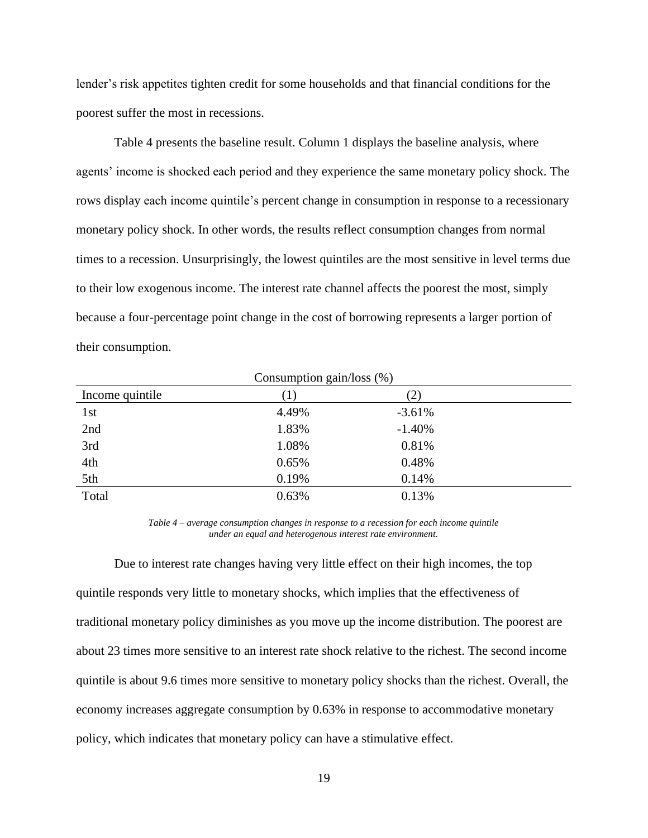lender's risk appetites tighten credit for some households and that financial conditions for the poorest suffer the most in recessions.

Table 4 presents the baseline result. Column 1 displays the baseline analysis, where agents' income is shocked each period and they experience the same monetary policy shock. The rows display each income quintile's percent change in consumption in response to a recessionary monetary policy shock. In other words, the results reflect consumption changes from normal times to a recession. Unsurprisingly, the lowest quintiles are the most sensitive in level terms due to their low exogenous income. The interest rate channel affects the poorest the most, simply because a four-percentage point change in the cost of borrowing represents a larger portion of their consumption.

| Consumption gain/loss $(\%)$ |       |               |  |
|------------------------------|-------|---------------|--|
| Income quintile              |       | $\mathcal{L}$ |  |
| 1st                          | 4.49% | $-3.61%$      |  |
| 2nd                          | 1.83% | $-1.40%$      |  |
| 3rd                          | 1.08% | 0.81%         |  |
| 4th                          | 0.65% | 0.48%         |  |
| 5th                          | 0.19% | 0.14%         |  |
| Total                        | 0.63% | 0.13%         |  |

*Table 4 – average consumption changes in response to a recession for each income quintile under an equal and heterogenous interest rate environment.*

Due to interest rate changes having very little effect on their high incomes, the top quintile responds very little to monetary shocks, which implies that the effectiveness of traditional monetary policy diminishes as you move up the income distribution. The poorest are about 23 times more sensitive to an interest rate shock relative to the richest. The second income quintile is about 9.6 times more sensitive to monetary policy shocks than the richest. Overall, the economy increases aggregate consumption by 0.63% in response to accommodative monetary policy, which indicates that monetary policy can have a stimulative effect.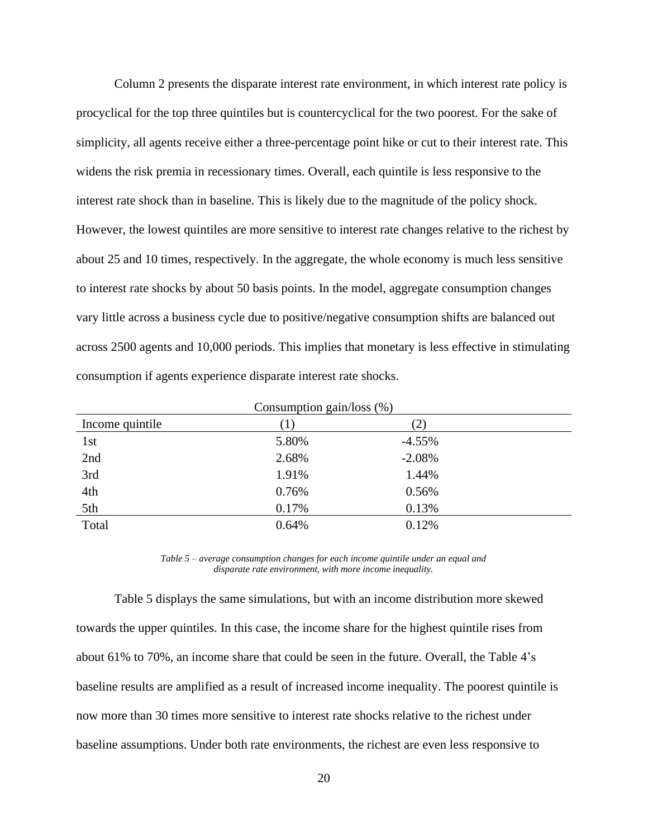Column 2 presents the disparate interest rate environment, in which interest rate policy is procyclical for the top three quintiles but is countercyclical for the two poorest. For the sake of simplicity, all agents receive either a three-percentage point hike or cut to their interest rate. This widens the risk premia in recessionary times. Overall, each quintile is less responsive to the interest rate shock than in baseline. This is likely due to the magnitude of the policy shock. However, the lowest quintiles are more sensitive to interest rate changes relative to the richest by about 25 and 10 times, respectively. In the aggregate, the whole economy is much less sensitive to interest rate shocks by about 50 basis points. In the model, aggregate consumption changes vary little across a business cycle due to positive/negative consumption shifts are balanced out across 2500 agents and 10,000 periods. This implies that monetary is less effective in stimulating consumption if agents experience disparate interest rate shocks.

| Consumption gain/loss $(\%)$ |       |               |  |
|------------------------------|-------|---------------|--|
| Income quintile              |       | $\mathbf{2})$ |  |
| 1st                          | 5.80% | $-4.55%$      |  |
| 2nd                          | 2.68% | $-2.08%$      |  |
| 3rd                          | 1.91% | 1.44%         |  |
| 4th                          | 0.76% | 0.56%         |  |
| 5th                          | 0.17% | 0.13%         |  |
| Total                        | 0.64% | 0.12%         |  |

*Table 5 – average consumption changes for each income quintile under an equal and disparate rate environment, with more income inequality.*

Table 5 displays the same simulations, but with an income distribution more skewed towards the upper quintiles. In this case, the income share for the highest quintile rises from about 61% to 70%, an income share that could be seen in the future. Overall, the Table 4's baseline results are amplified as a result of increased income inequality. The poorest quintile is now more than 30 times more sensitive to interest rate shocks relative to the richest under baseline assumptions. Under both rate environments, the richest are even less responsive to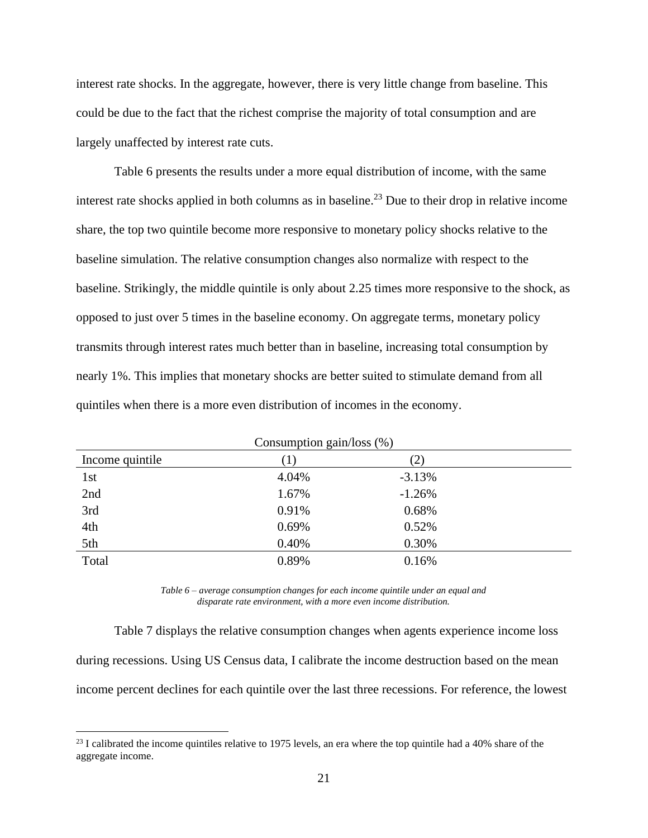interest rate shocks. In the aggregate, however, there is very little change from baseline. This could be due to the fact that the richest comprise the majority of total consumption and are largely unaffected by interest rate cuts.

Table 6 presents the results under a more equal distribution of income, with the same interest rate shocks applied in both columns as in baseline. <sup>23</sup> Due to their drop in relative income share, the top two quintile become more responsive to monetary policy shocks relative to the baseline simulation. The relative consumption changes also normalize with respect to the baseline. Strikingly, the middle quintile is only about 2.25 times more responsive to the shock, as opposed to just over 5 times in the baseline economy. On aggregate terms, monetary policy transmits through interest rates much better than in baseline, increasing total consumption by nearly 1%. This implies that monetary shocks are better suited to stimulate demand from all quintiles when there is a more even distribution of incomes in the economy.

| Consumption gain/loss $(\%)$ |                  |          |  |
|------------------------------|------------------|----------|--|
| Income quintile              | $\left(1\right)$ | (2)      |  |
| 1st                          | 4.04%            | $-3.13%$ |  |
| 2nd                          | 1.67%            | $-1.26%$ |  |
| 3rd                          | 0.91%            | 0.68%    |  |
| 4th                          | 0.69%            | 0.52%    |  |
| 5th                          | 0.40%            | 0.30%    |  |
| Total                        | 0.89%            | 0.16%    |  |

*Table 6 – average consumption changes for each income quintile under an equal and disparate rate environment, with a more even income distribution.*

Table 7 displays the relative consumption changes when agents experience income loss during recessions. Using US Census data, I calibrate the income destruction based on the mean income percent declines for each quintile over the last three recessions. For reference, the lowest

 $^{23}$  I calibrated the income quintiles relative to 1975 levels, an era where the top quintile had a 40% share of the aggregate income.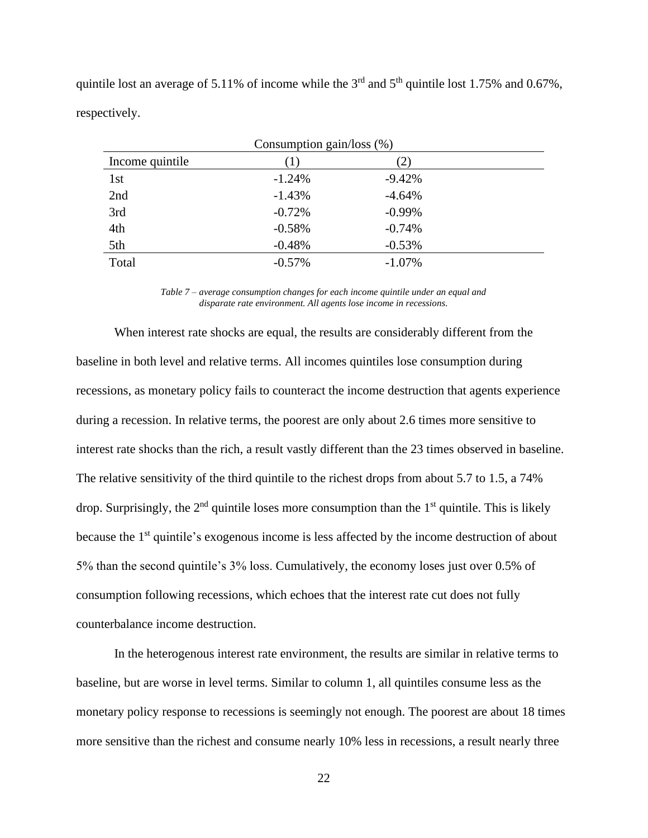quintile lost an average of 5.11% of income while the  $3<sup>rd</sup>$  and  $5<sup>th</sup>$  quintile lost 1.75% and 0.67%, respectively.

| Consumption gain/loss $(\%)$ |          |           |  |
|------------------------------|----------|-----------|--|
| Income quintile              | $\perp$  |           |  |
| 1st                          | $-1.24%$ | $-9.42%$  |  |
| 2nd                          | $-1.43%$ | $-4.64%$  |  |
| 3rd                          | $-0.72%$ | $-0.99\%$ |  |
| 4th                          | $-0.58%$ | $-0.74%$  |  |
| 5th                          | $-0.48%$ | $-0.53%$  |  |
| Total                        | $-0.57%$ | $-1.07%$  |  |

*Table 7 – average consumption changes for each income quintile under an equal and disparate rate environment. All agents lose income in recessions.*

When interest rate shocks are equal, the results are considerably different from the baseline in both level and relative terms. All incomes quintiles lose consumption during recessions, as monetary policy fails to counteract the income destruction that agents experience during a recession. In relative terms, the poorest are only about 2.6 times more sensitive to interest rate shocks than the rich, a result vastly different than the 23 times observed in baseline. The relative sensitivity of the third quintile to the richest drops from about 5.7 to 1.5, a 74% drop. Surprisingly, the  $2<sup>nd</sup>$  quintile loses more consumption than the  $1<sup>st</sup>$  quintile. This is likely because the 1<sup>st</sup> quintile's exogenous income is less affected by the income destruction of about 5% than the second quintile's 3% loss. Cumulatively, the economy loses just over 0.5% of consumption following recessions, which echoes that the interest rate cut does not fully counterbalance income destruction.

In the heterogenous interest rate environment, the results are similar in relative terms to baseline, but are worse in level terms. Similar to column 1, all quintiles consume less as the monetary policy response to recessions is seemingly not enough. The poorest are about 18 times more sensitive than the richest and consume nearly 10% less in recessions, a result nearly three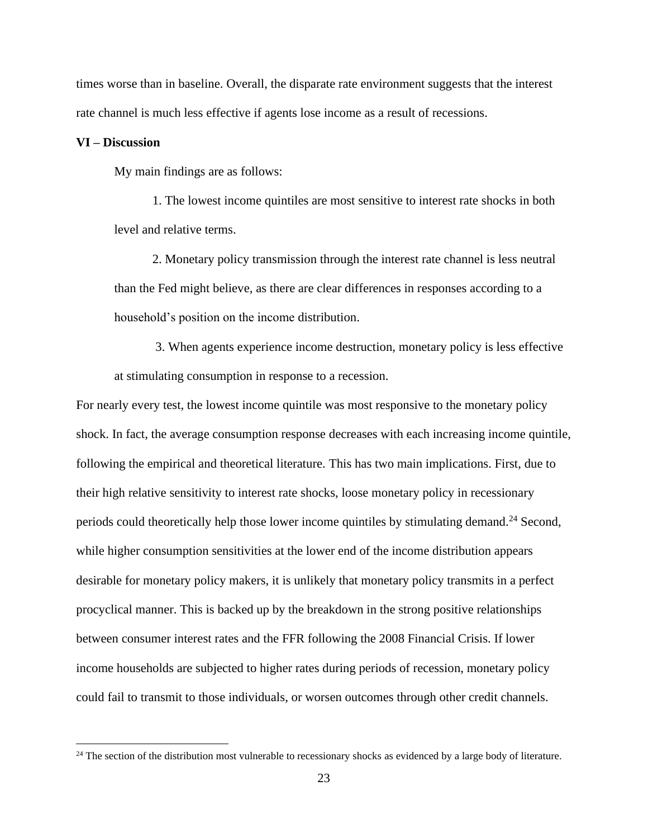times worse than in baseline. Overall, the disparate rate environment suggests that the interest rate channel is much less effective if agents lose income as a result of recessions.

#### **VI – Discussion**

My main findings are as follows:

1. The lowest income quintiles are most sensitive to interest rate shocks in both level and relative terms.

2. Monetary policy transmission through the interest rate channel is less neutral than the Fed might believe, as there are clear differences in responses according to a household's position on the income distribution.

3. When agents experience income destruction, monetary policy is less effective at stimulating consumption in response to a recession.

For nearly every test, the lowest income quintile was most responsive to the monetary policy shock. In fact, the average consumption response decreases with each increasing income quintile, following the empirical and theoretical literature. This has two main implications. First, due to their high relative sensitivity to interest rate shocks, loose monetary policy in recessionary periods could theoretically help those lower income quintiles by stimulating demand.<sup>24</sup> Second, while higher consumption sensitivities at the lower end of the income distribution appears desirable for monetary policy makers, it is unlikely that monetary policy transmits in a perfect procyclical manner. This is backed up by the breakdown in the strong positive relationships between consumer interest rates and the FFR following the 2008 Financial Crisis. If lower income households are subjected to higher rates during periods of recession, monetary policy could fail to transmit to those individuals, or worsen outcomes through other credit channels.

<sup>&</sup>lt;sup>24</sup> The section of the distribution most vulnerable to recessionary shocks as evidenced by a large body of literature.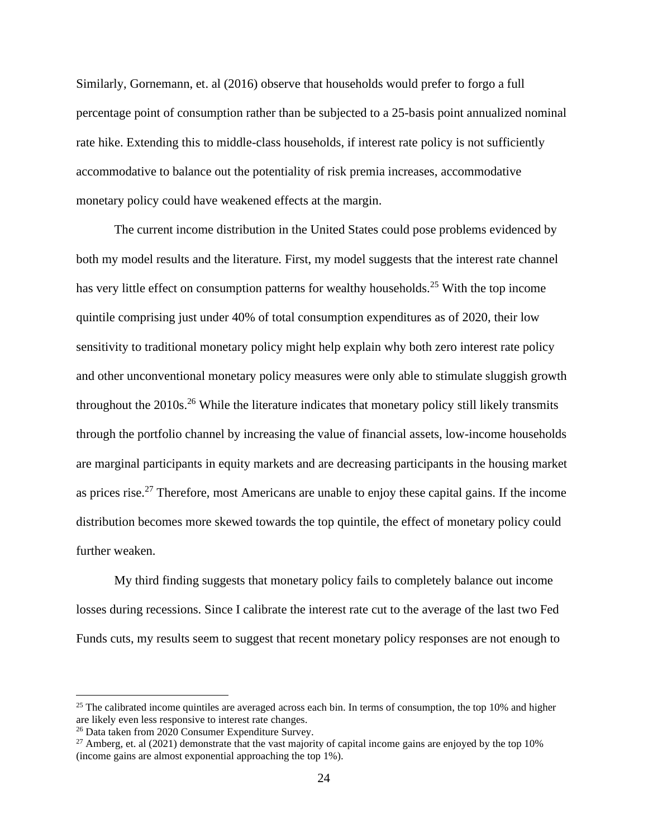Similarly, Gornemann, et. al (2016) observe that households would prefer to forgo a full percentage point of consumption rather than be subjected to a 25-basis point annualized nominal rate hike. Extending this to middle-class households, if interest rate policy is not sufficiently accommodative to balance out the potentiality of risk premia increases, accommodative monetary policy could have weakened effects at the margin.

The current income distribution in the United States could pose problems evidenced by both my model results and the literature. First, my model suggests that the interest rate channel has very little effect on consumption patterns for wealthy households.<sup>25</sup> With the top income quintile comprising just under 40% of total consumption expenditures as of 2020, their low sensitivity to traditional monetary policy might help explain why both zero interest rate policy and other unconventional monetary policy measures were only able to stimulate sluggish growth throughout the 2010s.<sup>26</sup> While the literature indicates that monetary policy still likely transmits through the portfolio channel by increasing the value of financial assets, low-income households are marginal participants in equity markets and are decreasing participants in the housing market as prices rise.<sup>27</sup> Therefore, most Americans are unable to enjoy these capital gains. If the income distribution becomes more skewed towards the top quintile, the effect of monetary policy could further weaken.

My third finding suggests that monetary policy fails to completely balance out income losses during recessions. Since I calibrate the interest rate cut to the average of the last two Fed Funds cuts, my results seem to suggest that recent monetary policy responses are not enough to

<sup>&</sup>lt;sup>25</sup> The calibrated income quintiles are averaged across each bin. In terms of consumption, the top 10% and higher are likely even less responsive to interest rate changes.

<sup>26</sup> Data taken from 2020 Consumer Expenditure Survey.

<sup>&</sup>lt;sup>27</sup> Amberg, et. al (2021) demonstrate that the vast majority of capital income gains are enjoyed by the top 10% (income gains are almost exponential approaching the top 1%).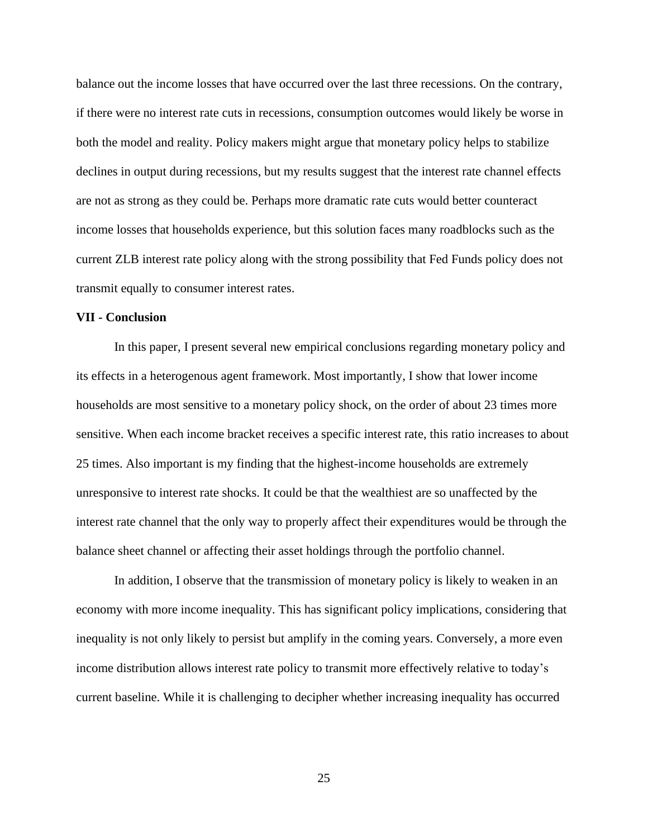balance out the income losses that have occurred over the last three recessions. On the contrary, if there were no interest rate cuts in recessions, consumption outcomes would likely be worse in both the model and reality. Policy makers might argue that monetary policy helps to stabilize declines in output during recessions, but my results suggest that the interest rate channel effects are not as strong as they could be. Perhaps more dramatic rate cuts would better counteract income losses that households experience, but this solution faces many roadblocks such as the current ZLB interest rate policy along with the strong possibility that Fed Funds policy does not transmit equally to consumer interest rates.

#### **VII - Conclusion**

In this paper, I present several new empirical conclusions regarding monetary policy and its effects in a heterogenous agent framework. Most importantly, I show that lower income households are most sensitive to a monetary policy shock, on the order of about 23 times more sensitive. When each income bracket receives a specific interest rate, this ratio increases to about 25 times. Also important is my finding that the highest-income households are extremely unresponsive to interest rate shocks. It could be that the wealthiest are so unaffected by the interest rate channel that the only way to properly affect their expenditures would be through the balance sheet channel or affecting their asset holdings through the portfolio channel.

In addition, I observe that the transmission of monetary policy is likely to weaken in an economy with more income inequality. This has significant policy implications, considering that inequality is not only likely to persist but amplify in the coming years. Conversely, a more even income distribution allows interest rate policy to transmit more effectively relative to today's current baseline. While it is challenging to decipher whether increasing inequality has occurred

25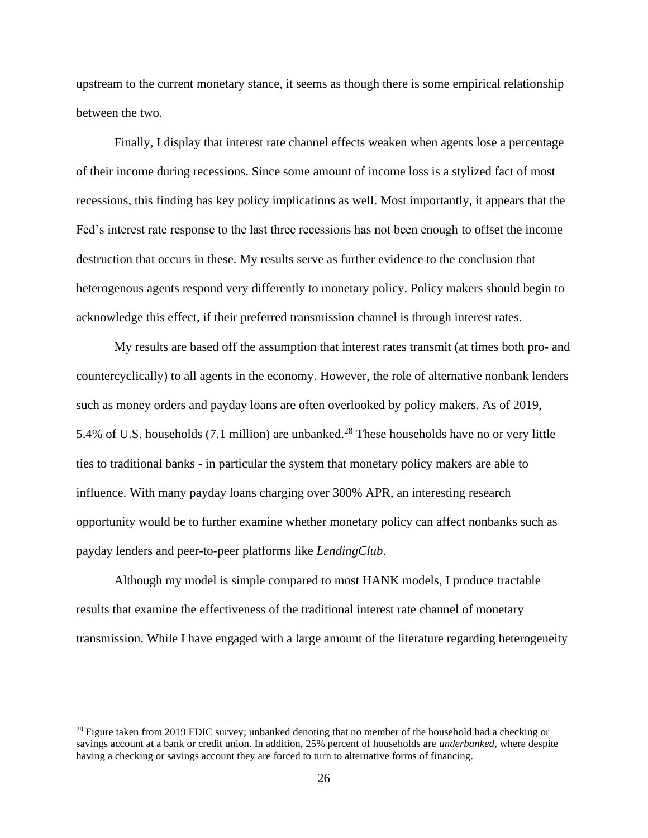upstream to the current monetary stance, it seems as though there is some empirical relationship between the two.

Finally, I display that interest rate channel effects weaken when agents lose a percentage of their income during recessions. Since some amount of income loss is a stylized fact of most recessions, this finding has key policy implications as well. Most importantly, it appears that the Fed's interest rate response to the last three recessions has not been enough to offset the income destruction that occurs in these. My results serve as further evidence to the conclusion that heterogenous agents respond very differently to monetary policy. Policy makers should begin to acknowledge this effect, if their preferred transmission channel is through interest rates.

My results are based off the assumption that interest rates transmit (at times both pro- and countercyclically) to all agents in the economy. However, the role of alternative nonbank lenders such as money orders and payday loans are often overlooked by policy makers. As of 2019, 5.4% of U.S. households (7.1 million) are unbanked.<sup>28</sup> These households have no or very little ties to traditional banks - in particular the system that monetary policy makers are able to influence. With many payday loans charging over 300% APR, an interesting research opportunity would be to further examine whether monetary policy can affect nonbanks such as payday lenders and peer-to-peer platforms like *LendingClub*.

Although my model is simple compared to most HANK models, I produce tractable results that examine the effectiveness of the traditional interest rate channel of monetary transmission. While I have engaged with a large amount of the literature regarding heterogeneity

<sup>&</sup>lt;sup>28</sup> Figure taken from 2019 FDIC survey; unbanked denoting that no member of the household had a checking or savings account at a bank or credit union. In addition, 25% percent of households are *underbanked*, where despite having a checking or savings account they are forced to turn to alternative forms of financing.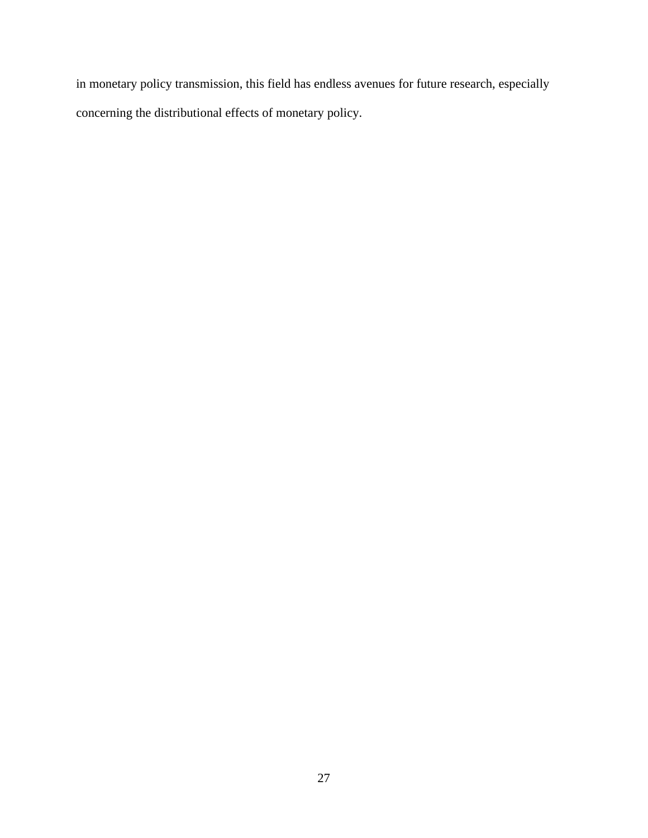in monetary policy transmission, this field has endless avenues for future research, especially concerning the distributional effects of monetary policy.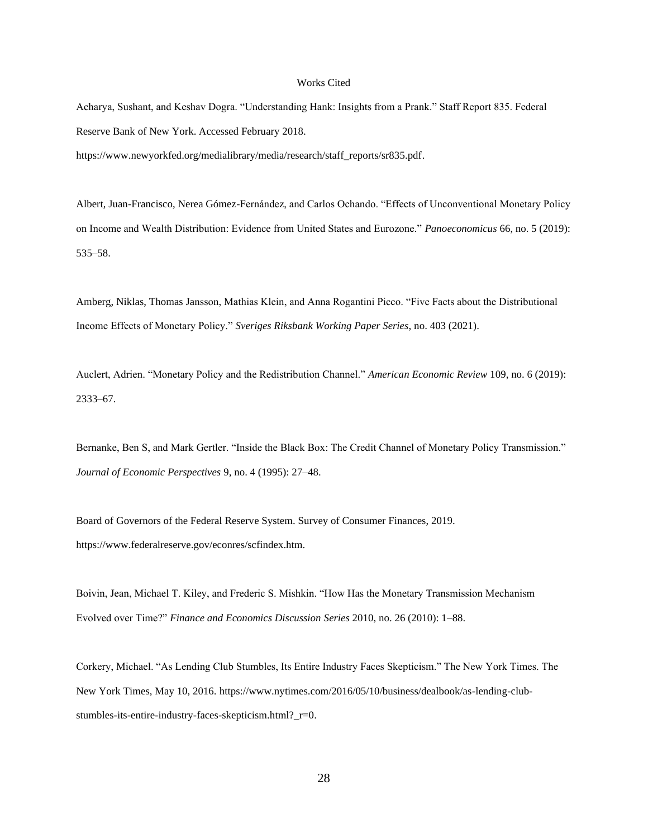#### Works Cited

Acharya, Sushant, and Keshav Dogra. "Understanding Hank: Insights from a Prank." Staff Report 835. Federal Reserve Bank of New York. Accessed February 2018. https://www.newyorkfed.org/medialibrary/media/research/staff\_reports/sr835.pdf.

Albert, Juan-Francisco, Nerea Gómez-Fernández, and Carlos Ochando. "Effects of Unconventional Monetary Policy on Income and Wealth Distribution: Evidence from United States and Eurozone." *Panoeconomicus* 66, no. 5 (2019): 535–58.

Amberg, Niklas, Thomas Jansson, Mathias Klein, and Anna Rogantini Picco. "Five Facts about the Distributional Income Effects of Monetary Policy." *Sveriges Riksbank Working Paper Series*, no. 403 (2021).

Auclert, Adrien. "Monetary Policy and the Redistribution Channel." *American Economic Review* 109, no. 6 (2019): 2333–67.

Bernanke, Ben S, and Mark Gertler. "Inside the Black Box: The Credit Channel of Monetary Policy Transmission." *Journal of Economic Perspectives* 9, no. 4 (1995): 27–48.

Board of Governors of the Federal Reserve System. Survey of Consumer Finances, 2019. https://www.federalreserve.gov/econres/scfindex.htm.

Boivin, Jean, Michael T. Kiley, and Frederic S. Mishkin. "How Has the Monetary Transmission Mechanism Evolved over Time?" *Finance and Economics Discussion Series* 2010, no. 26 (2010): 1–88.

Corkery, Michael. "As Lending Club Stumbles, Its Entire Industry Faces Skepticism." The New York Times. The New York Times, May 10, 2016. https://www.nytimes.com/2016/05/10/business/dealbook/as-lending-clubstumbles-its-entire-industry-faces-skepticism.html?\_r=0.